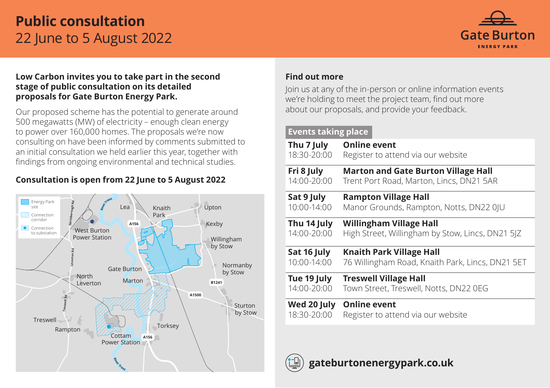# **Public consultation** 22 June to 5 August 2022



### **Low Carbon invites you to take part in the second stage of public consultation on its detailed proposals for Gate Burton Energy Park.**

Our proposed scheme has the potential to generate around 500 megawatts (MW) of electricity – enough clean energy to power over 160,000 homes. The proposals we're now consulting on have been informed by comments submitted to an initial consultation we held earlier this year, together with findings from ongoing environmental and technical studies.

### **Consultation is open from 22 June to 5 August 2022**



### **Find out more**

Join us at any of the in-person or online information events we're holding to meet the project team, find out more about our proposals, and provide your feedback.

### **Events taking place**

| Thu 7 July      | <b>Online event</b>                              |
|-----------------|--------------------------------------------------|
| 18:30-20:00     | Register to attend via our website               |
| Fri 8 July      | <b>Marton and Gate Burton Village Hall</b>       |
| $14:00 - 20:00$ | Trent Port Road, Marton, Lincs, DN21 5AR         |
| Sat 9 July      | <b>Rampton Village Hall</b>                      |
| 10:00-14:00     | Manor Grounds, Rampton, Notts, DN22 0JU          |
| Thu 14 July     | <b>Willingham Village Hall</b>                   |
| $14:00 - 20:00$ | High Street, Willingham by Stow, Lincs, DN21 5JZ |
| Sat 16 July     | <b>Knaith Park Village Hall</b>                  |
| 10:00-14:00     | 76 Willingham Road, Knaith Park, Lincs, DN21 5ET |
| Tue 19 July     | <b>Treswell Village Hall</b>                     |
| 14:00-20:00     | Town Street, Treswell, Notts, DN22 0EG           |
| Wed 20 July     | <b>Online event</b>                              |
| 18:30-20:00     | Register to attend via our website               |